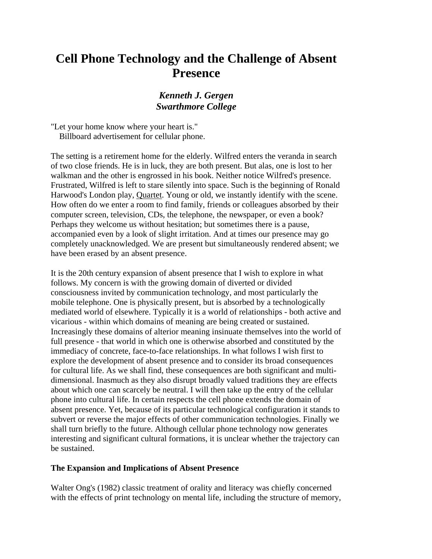# **Cell Phone Technology and the Challenge of Absent Presence**

## *Kenneth J. Gergen Swarthmore College*

"Let your home know where your heart is." Billboard advertisement for cellular phone.

The setting is a retirement home for the elderly. Wilfred enters the veranda in search of two close friends. He is in luck, they are both present. But alas, one is lost to her walkman and the other is engrossed in his book. Neither notice Wilfred's presence. Frustrated, Wilfred is left to stare silently into space. Such is the beginning of Ronald Harwood's London play, Quartet. Young or old, we instantly identify with the scene. How often do we enter a room to find family, friends or colleagues absorbed by their computer screen, television, CDs, the telephone, the newspaper, or even a book? Perhaps they welcome us without hesitation; but sometimes there is a pause, accompanied even by a look of slight irritation. And at times our presence may go completely unacknowledged. We are present but simultaneously rendered absent; we have been erased by an absent presence.

It is the 20th century expansion of absent presence that I wish to explore in what follows. My concern is with the growing domain of diverted or divided consciousness invited by communication technology, and most particularly the mobile telephone. One is physically present, but is absorbed by a technologically mediated world of elsewhere. Typically it is a world of relationships - both active and vicarious - within which domains of meaning are being created or sustained. Increasingly these domains of alterior meaning insinuate themselves into the world of full presence - that world in which one is otherwise absorbed and constituted by the immediacy of concrete, face-to-face relationships. In what follows I wish first to explore the development of absent presence and to consider its broad consequences for cultural life. As we shall find, these consequences are both significant and multidimensional. Inasmuch as they also disrupt broadly valued traditions they are effects about which one can scarcely be neutral. I will then take up the entry of the cellular phone into cultural life. In certain respects the cell phone extends the domain of absent presence. Yet, because of its particular technological configuration it stands to subvert or reverse the major effects of other communication technologies. Finally we shall turn briefly to the future. Although cellular phone technology now generates interesting and significant cultural formations, it is unclear whether the trajectory can be sustained.

#### **The Expansion and Implications of Absent Presence**

Walter Ong's (1982) classic treatment of orality and literacy was chiefly concerned with the effects of print technology on mental life, including the structure of memory,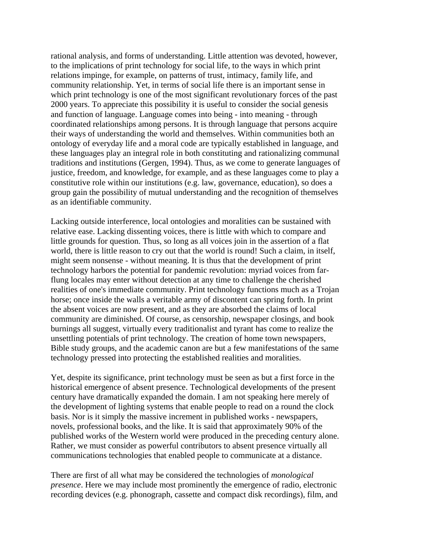rational analysis, and forms of understanding. Little attention was devoted, however, to the implications of print technology for social life, to the ways in which print relations impinge, for example, on patterns of trust, intimacy, family life, and community relationship. Yet, in terms of social life there is an important sense in which print technology is one of the most significant revolutionary forces of the past 2000 years. To appreciate this possibility it is useful to consider the social genesis and function of language. Language comes into being - into meaning - through coordinated relationships among persons. It is through language that persons acquire their ways of understanding the world and themselves. Within communities both an ontology of everyday life and a moral code are typically established in language, and these languages play an integral role in both constituting and rationalizing communal traditions and institutions (Gergen, 1994). Thus, as we come to generate languages of justice, freedom, and knowledge, for example, and as these languages come to play a constitutive role within our institutions (e.g. law, governance, education), so does a group gain the possibility of mutual understanding and the recognition of themselves as an identifiable community.

Lacking outside interference, local ontologies and moralities can be sustained with relative ease. Lacking dissenting voices, there is little with which to compare and little grounds for question. Thus, so long as all voices join in the assertion of a flat world, there is little reason to cry out that the world is round! Such a claim, in itself, might seem nonsense - without meaning. It is thus that the development of print technology harbors the potential for pandemic revolution: myriad voices from farflung locales may enter without detection at any time to challenge the cherished realities of one's immediate community. Print technology functions much as a Trojan horse; once inside the walls a veritable army of discontent can spring forth. In print the absent voices are now present, and as they are absorbed the claims of local community are diminished. Of course, as censorship, newspaper closings, and book burnings all suggest, virtually every traditionalist and tyrant has come to realize the unsettling potentials of print technology. The creation of home town newspapers, Bible study groups, and the academic canon are but a few manifestations of the same technology pressed into protecting the established realities and moralities.

Yet, despite its significance, print technology must be seen as but a first force in the historical emergence of absent presence. Technological developments of the present century have dramatically expanded the domain. I am not speaking here merely of the development of lighting systems that enable people to read on a round the clock basis. Nor is it simply the massive increment in published works - newspapers, novels, professional books, and the like. It is said that approximately 90% of the published works of the Western world were produced in the preceding century alone. Rather, we must consider as powerful contributors to absent presence virtually all communications technologies that enabled people to communicate at a distance.

There are first of all what may be considered the technologies of *monological presence*. Here we may include most prominently the emergence of radio, electronic recording devices (e.g. phonograph, cassette and compact disk recordings), film, and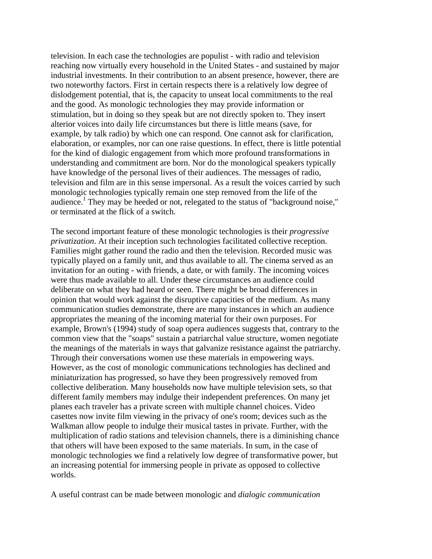television. In each case the technologies are populist - with radio and television reaching now virtually every household in the United States - and sustained by major industrial investments. In their contribution to an absent presence, however, there are two noteworthy factors. First in certain respects there is a relatively low degree of dislodgement potential, that is, the capacity to unseat local commitments to the real and the good. As monologic technologies they may provide information or stimulation, but in doing so they speak but are not directly spoken to. They insert alterior voices into daily life circumstances but there is little means (save, for example, by talk radio) by which one can respond. One cannot ask for clarification, elaboration, or examples, nor can one raise questions. In effect, there is little potential for the kind of dialogic engagement from which more profound transformations in understanding and commitment are born. Nor do the monological speakers typically have knowledge of the personal lives of their audiences. The messages of radio, television and film are in this sense impersonal. As a result the voices carried by such monologic technologies typically remain one step removed from the life of the audience.<sup>1</sup> They may be heeded or not, relegated to the status of "background noise," or terminated at the flick of a switch.

The second important feature of these monologic technologies is their *progressive privatization*. At their inception such technologies facilitated collective reception. Families might gather round the radio and then the television. Recorded music was typically played on a family unit, and thus available to all. The cinema served as an invitation for an outing - with friends, a date, or with family. The incoming voices were thus made available to all. Under these circumstances an audience could deliberate on what they had heard or seen. There might be broad differences in opinion that would work against the disruptive capacities of the medium. As many communication studies demonstrate, there are many instances in which an audience appropriates the meaning of the incoming material for their own purposes. For example, Brown's (1994) study of soap opera audiences suggests that, contrary to the common view that the "soaps" sustain a patriarchal value structure, women negotiate the meanings of the materials in ways that galvanize resistance against the patriarchy. Through their conversations women use these materials in empowering ways. However, as the cost of monologic communications technologies has declined and miniaturization has progressed, so have they been progressively removed from collective deliberation. Many households now have multiple television sets, so that different family members may indulge their independent preferences. On many jet planes each traveler has a private screen with multiple channel choices. Video casettes now invite film viewing in the privacy of one's room; devices such as the Walkman allow people to indulge their musical tastes in private. Further, with the multiplication of radio stations and television channels, there is a diminishing chance that others will have been exposed to the same materials. In sum, in the case of monologic technologies we find a relatively low degree of transformative power, but an increasing potential for immersing people in private as opposed to collective worlds.

A useful contrast can be made between monologic and *dialogic communication*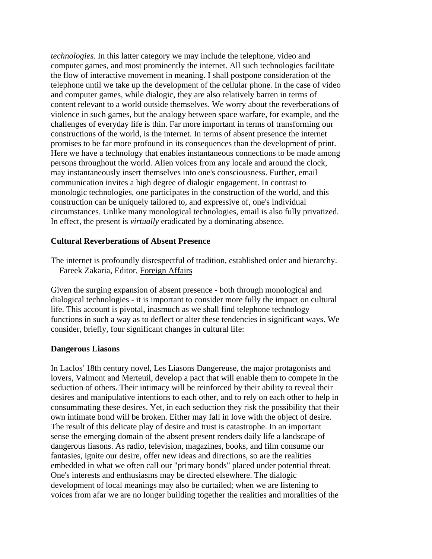*technologies*. In this latter category we may include the telephone, video and computer games, and most prominently the internet. All such technologies facilitate the flow of interactive movement in meaning. I shall postpone consideration of the telephone until we take up the development of the cellular phone. In the case of video and computer games, while dialogic, they are also relatively barren in terms of content relevant to a world outside themselves. We worry about the reverberations of violence in such games, but the analogy between space warfare, for example, and the challenges of everyday life is thin. Far more important in terms of transforming our constructions of the world, is the internet. In terms of absent presence the internet promises to be far more profound in its consequences than the development of print. Here we have a technology that enables instantaneous connections to be made among persons throughout the world. Alien voices from any locale and around the clock, may instantaneously insert themselves into one's consciousness. Further, email communication invites a high degree of dialogic engagement. In contrast to monologic technologies, one participates in the construction of the world, and this construction can be uniquely tailored to, and expressive of, one's individual circumstances. Unlike many monological technologies, email is also fully privatized. In effect, the present is *virtually* eradicated by a dominating absence.

### **Cultural Reverberations of Absent Presence**

The internet is profoundly disrespectful of tradition, established order and hierarchy. Fareek Zakaria, Editor, Foreign Affairs

Given the surging expansion of absent presence - both through monological and dialogical technologies - it is important to consider more fully the impact on cultural life. This account is pivotal, inasmuch as we shall find telephone technology functions in such a way as to deflect or alter these tendencies in significant ways. We consider, briefly, four significant changes in cultural life:

#### **Dangerous Liasons**

In Laclos' 18th century novel, Les Liasons Dangereuse, the major protagonists and lovers, Valmont and Merteuil, develop a pact that will enable them to compete in the seduction of others. Their intimacy will be reinforced by their ability to reveal their desires and manipulative intentions to each other, and to rely on each other to help in consummating these desires. Yet, in each seduction they risk the possibility that their own intimate bond will be broken. Either may fall in love with the object of desire. The result of this delicate play of desire and trust is catastrophe. In an important sense the emerging domain of the absent present renders daily life a landscape of dangerous liasons. As radio, television, magazines, books, and film consume our fantasies, ignite our desire, offer new ideas and directions, so are the realities embedded in what we often call our "primary bonds" placed under potential threat. One's interests and enthusiasms may be directed elsewhere. The dialogic development of local meanings may also be curtailed; when we are listening to voices from afar we are no longer building together the realities and moralities of the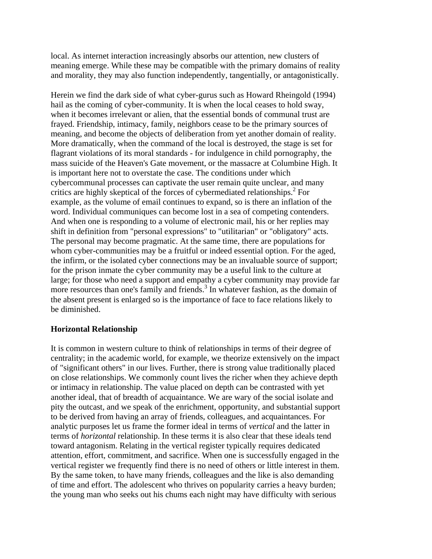local. As internet interaction increasingly absorbs our attention, new clusters of meaning emerge. While these may be compatible with the primary domains of reality and morality, they may also function independently, tangentially, or antagonistically.

Herein we find the dark side of what cyber-gurus such as Howard Rheingold (1994) hail as the coming of cyber-community. It is when the local ceases to hold sway, when it becomes irrelevant or alien, that the essential bonds of communal trust are frayed. Friendship, intimacy, family, neighbors cease to be the primary sources of meaning, and become the objects of deliberation from yet another domain of reality. More dramatically, when the command of the local is destroyed, the stage is set for flagrant violations of its moral standards - for indulgence in child pornography, the mass suicide of the Heaven's Gate movement, or the massacre at Columbine High. It is important here not to overstate the case. The conditions under which cybercommunal processes can captivate the user remain quite unclear, and many critics are highly skeptical of the forces of cybermediated relationships.<sup>2</sup> For example, as the volume of email continues to expand, so is there an inflation of the word. Individual communiques can become lost in a sea of competing contenders. And when one is responding to a volume of electronic mail, his or her replies may shift in definition from "personal expressions" to "utilitarian" or "obligatory" acts. The personal may become pragmatic. At the same time, there are populations for whom cyber-communities may be a fruitful or indeed essential option. For the aged, the infirm, or the isolated cyber connections may be an invaluable source of support; for the prison inmate the cyber community may be a useful link to the culture at large; for those who need a support and empathy a cyber community may provide far more resources than one's family and friends.<sup>3</sup> In whatever fashion, as the domain of the absent present is enlarged so is the importance of face to face relations likely to be diminished.

## **Horizontal Relationship**

It is common in western culture to think of relationships in terms of their degree of centrality; in the academic world, for example, we theorize extensively on the impact of "significant others" in our lives. Further, there is strong value traditionally placed on close relationships. We commonly count lives the richer when they achieve depth or intimacy in relationship. The value placed on depth can be contrasted with yet another ideal, that of breadth of acquaintance. We are wary of the social isolate and pity the outcast, and we speak of the enrichment, opportunity, and substantial support to be derived from having an array of friends, colleagues, and acquaintances. For analytic purposes let us frame the former ideal in terms of *vertical* and the latter in terms of *horizontal* relationship. In these terms it is also clear that these ideals tend toward antagonism. Relating in the vertical register typically requires dedicated attention, effort, commitment, and sacrifice. When one is successfully engaged in the vertical register we frequently find there is no need of others or little interest in them. By the same token, to have many friends, colleagues and the like is also demanding of time and effort. The adolescent who thrives on popularity carries a heavy burden; the young man who seeks out his chums each night may have difficulty with serious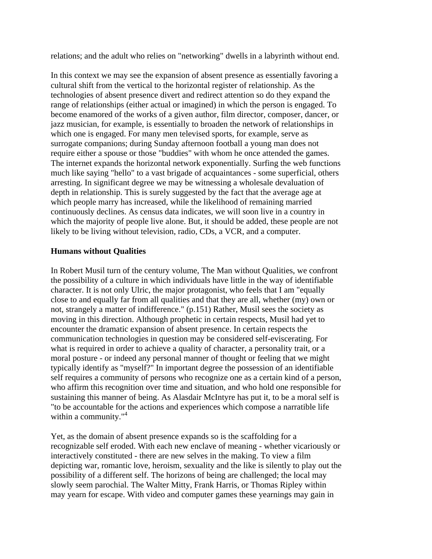relations; and the adult who relies on "networking" dwells in a labyrinth without end.

In this context we may see the expansion of absent presence as essentially favoring a cultural shift from the vertical to the horizontal register of relationship. As the technologies of absent presence divert and redirect attention so do they expand the range of relationships (either actual or imagined) in which the person is engaged. To become enamored of the works of a given author, film director, composer, dancer, or jazz musician, for example, is essentially to broaden the network of relationships in which one is engaged. For many men televised sports, for example, serve as surrogate companions; during Sunday afternoon football a young man does not require either a spouse or those "buddies" with whom he once attended the games. The internet expands the horizontal network exponentially. Surfing the web functions much like saying "hello" to a vast brigade of acquaintances - some superficial, others arresting. In significant degree we may be witnessing a wholesale devaluation of depth in relationship. This is surely suggested by the fact that the average age at which people marry has increased, while the likelihood of remaining married continuously declines. As census data indicates, we will soon live in a country in which the majority of people live alone. But, it should be added, these people are not likely to be living without television, radio, CDs, a VCR, and a computer.

## **Humans without Qualities**

In Robert Musil turn of the century volume, The Man without Qualities, we confront the possibility of a culture in which individuals have little in the way of identifiable character. It is not only Ulric, the major protagonist, who feels that I am "equally close to and equally far from all qualities and that they are all, whether (my) own or not, strangely a matter of indifference." (p.151) Rather, Musil sees the society as moving in this direction. Although prophetic in certain respects, Musil had yet to encounter the dramatic expansion of absent presence. In certain respects the communication technologies in question may be considered self-eviscerating. For what is required in order to achieve a quality of character, a personality trait, or a moral posture - or indeed any personal manner of thought or feeling that we might typically identify as "myself?" In important degree the possession of an identifiable self requires a community of persons who recognize one as a certain kind of a person, who affirm this recognition over time and situation, and who hold one responsible for sustaining this manner of being. As Alasdair McIntyre has put it, to be a moral self is "to be accountable for the actions and experiences which compose a narratible life within a community."<sup>4</sup>

Yet, as the domain of absent presence expands so is the scaffolding for a recognizable self eroded. With each new enclave of meaning - whether vicariously or interactively constituted - there are new selves in the making. To view a film depicting war, romantic love, heroism, sexuality and the like is silently to play out the possibility of a different self. The horizons of being are challenged; the local may slowly seem parochial. The Walter Mitty, Frank Harris, or Thomas Ripley within may yearn for escape. With video and computer games these yearnings may gain in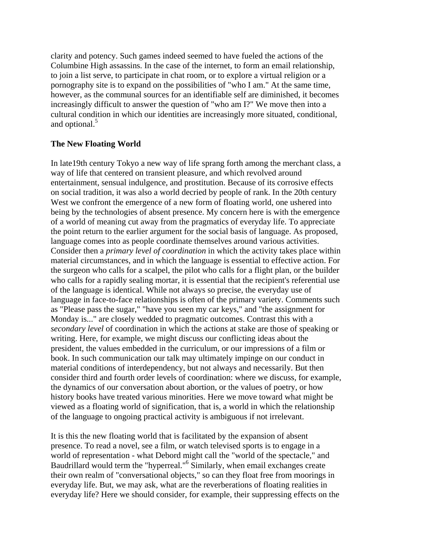clarity and potency. Such games indeed seemed to have fueled the actions of the Columbine High assassins. In the case of the internet, to form an email relationship, to join a list serve, to participate in chat room, or to explore a virtual religion or a pornography site is to expand on the possibilities of "who I am." At the same time, however, as the communal sources for an identifiable self are diminished, it becomes increasingly difficult to answer the question of "who am I?" We move then into a cultural condition in which our identities are increasingly more situated, conditional, and optional.<sup>5</sup>

## **The New Floating World**

In late19th century Tokyo a new way of life sprang forth among the merchant class, a way of life that centered on transient pleasure, and which revolved around entertainment, sensual indulgence, and prostitution. Because of its corrosive effects on social tradition, it was also a world decried by people of rank. In the 20th century West we confront the emergence of a new form of floating world, one ushered into being by the technologies of absent presence. My concern here is with the emergence of a world of meaning cut away from the pragmatics of everyday life. To appreciate the point return to the earlier argument for the social basis of language. As proposed, language comes into as people coordinate themselves around various activities. Consider then a *primary level of coordination* in which the activity takes place within material circumstances, and in which the language is essential to effective action. For the surgeon who calls for a scalpel, the pilot who calls for a flight plan, or the builder who calls for a rapidly sealing mortar, it is essential that the recipient's referential use of the language is identical. While not always so precise, the everyday use of language in face-to-face relationships is often of the primary variety. Comments such as "Please pass the sugar," "have you seen my car keys," and "the assignment for Monday is..." are closely wedded to pragmatic outcomes. Contrast this with a *secondary level* of coordination in which the actions at stake are those of speaking or writing. Here, for example, we might discuss our conflicting ideas about the president, the values embedded in the curriculum, or our impressions of a film or book. In such communication our talk may ultimately impinge on our conduct in material conditions of interdependency, but not always and necessarily. But then consider third and fourth order levels of coordination: where we discuss, for example, the dynamics of our conversation about abortion, or the values of poetry, or how history books have treated various minorities. Here we move toward what might be viewed as a floating world of signification, that is, a world in which the relationship of the language to ongoing practical activity is ambiguous if not irrelevant.

It is this the new floating world that is facilitated by the expansion of absent presence. To read a novel, see a film, or watch televised sports is to engage in a world of representation - what Debord might call the "world of the spectacle," and Baudrillard would term the "hyperreal."<sup>6</sup> Similarly, when email exchanges create their own realm of "conversational objects," so can they float free from moorings in everyday life. But, we may ask, what are the reverberations of floating realities in everyday life? Here we should consider, for example, their suppressing effects on the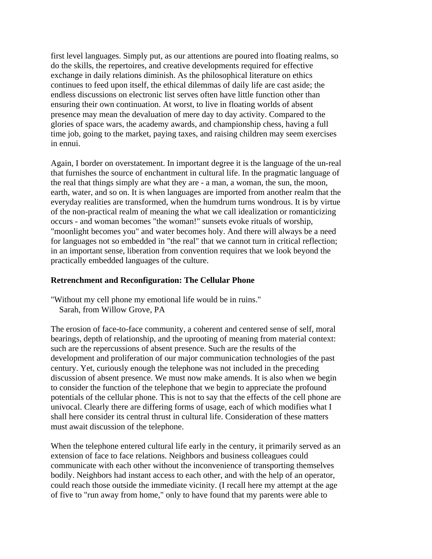first level languages. Simply put, as our attentions are poured into floating realms, so do the skills, the repertoires, and creative developments required for effective exchange in daily relations diminish. As the philosophical literature on ethics continues to feed upon itself, the ethical dilemmas of daily life are cast aside; the endless discussions on electronic list serves often have little function other than ensuring their own continuation. At worst, to live in floating worlds of absent presence may mean the devaluation of mere day to day activity. Compared to the glories of space wars, the academy awards, and championship chess, having a full time job, going to the market, paying taxes, and raising children may seem exercises in ennui.

Again, I border on overstatement. In important degree it is the language of the un-real that furnishes the source of enchantment in cultural life. In the pragmatic language of the real that things simply are what they are - a man, a woman, the sun, the moon, earth, water, and so on. It is when languages are imported from another realm that the everyday realities are transformed, when the humdrum turns wondrous. It is by virtue of the non-practical realm of meaning the what we call idealization or romanticizing occurs - and woman becomes "the woman!" sunsets evoke rituals of worship, "moonlight becomes you" and water becomes holy. And there will always be a need for languages not so embedded in "the real" that we cannot turn in critical reflection; in an important sense, liberation from convention requires that we look beyond the practically embedded languages of the culture.

## **Retrenchment and Reconfiguration: The Cellular Phone**

"Without my cell phone my emotional life would be in ruins." Sarah, from Willow Grove, PA

The erosion of face-to-face community, a coherent and centered sense of self, moral bearings, depth of relationship, and the uprooting of meaning from material context: such are the repercussions of absent presence. Such are the results of the development and proliferation of our major communication technologies of the past century. Yet, curiously enough the telephone was not included in the preceding discussion of absent presence. We must now make amends. It is also when we begin to consider the function of the telephone that we begin to appreciate the profound potentials of the cellular phone. This is not to say that the effects of the cell phone are univocal. Clearly there are differing forms of usage, each of which modifies what I shall here consider its central thrust in cultural life. Consideration of these matters must await discussion of the telephone.

When the telephone entered cultural life early in the century, it primarily served as an extension of face to face relations. Neighbors and business colleagues could communicate with each other without the inconvenience of transporting themselves bodily. Neighbors had instant access to each other, and with the help of an operator, could reach those outside the immediate vicinity. (I recall here my attempt at the age of five to "run away from home," only to have found that my parents were able to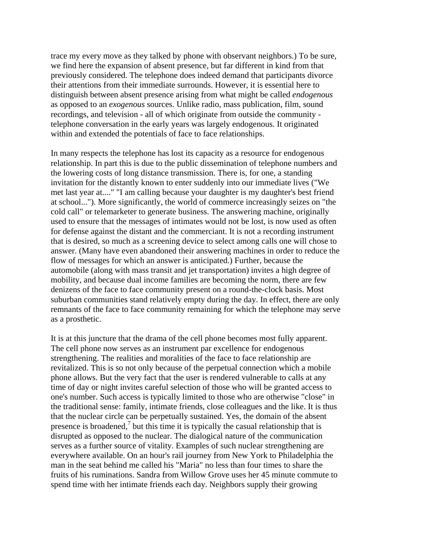trace my every move as they talked by phone with observant neighbors.) To be sure, we find here the expansion of absent presence, but far different in kind from that previously considered. The telephone does indeed demand that participants divorce their attentions from their immediate surrounds. However, it is essential here to distinguish between absent presence arising from what might be called *endogenous* as opposed to an *exogenous* sources. Unlike radio, mass publication, film, sound recordings, and television - all of which originate from outside the community telephone conversation in the early years was largely endogenous. It originated within and extended the potentials of face to face relationships.

In many respects the telephone has lost its capacity as a resource for endogenous relationship. In part this is due to the public dissemination of telephone numbers and the lowering costs of long distance transmission. There is, for one, a standing invitation for the distantly known to enter suddenly into our immediate lives ("We met last year at...." "I am calling because your daughter is my daughter's best friend at school..."). More significantly, the world of commerce increasingly seizes on "the cold call" or telemarketer to generate business. The answering machine, originally used to ensure that the messages of intimates would not be lost, is now used as often for defense against the distant and the commerciant. It is not a recording instrument that is desired, so much as a screening device to select among calls one will chose to answer. (Many have even abandoned their answering machines in order to reduce the flow of messages for which an answer is anticipated.) Further, because the automobile (along with mass transit and jet transportation) invites a high degree of mobility, and because dual income families are becoming the norm, there are few denizens of the face to face community present on a round-the-clock basis. Most suburban communities stand relatively empty during the day. In effect, there are only remnants of the face to face community remaining for which the telephone may serve as a prosthetic.

It is at this juncture that the drama of the cell phone becomes most fully apparent. The cell phone now serves as an instrument par excellence for endogenous strengthening. The realities and moralities of the face to face relationship are revitalized. This is so not only because of the perpetual connection which a mobile phone allows. But the very fact that the user is rendered vulnerable to calls at any time of day or night invites careful selection of those who will be granted access to one's number. Such access is typically limited to those who are otherwise "close" in the traditional sense: family, intimate friends, close colleagues and the like. It is thus that the nuclear circle can be perpetually sustained. Yes, the domain of the absent presence is broadened, $\frac{7}{1}$  but this time it is typically the casual relationship that is disrupted as opposed to the nuclear. The dialogical nature of the communication serves as a further source of vitality. Examples of such nuclear strengthening are everywhere available. On an hour's rail journey from New York to Philadelphia the man in the seat behind me called his "Maria" no less than four times to share the fruits of his ruminations. Sandra from Willow Grove uses her 45 minute commute to spend time with her intimate friends each day. Neighbors supply their growing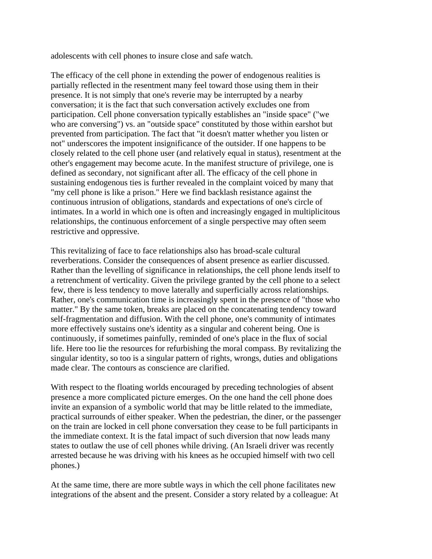adolescents with cell phones to insure close and safe watch.

The efficacy of the cell phone in extending the power of endogenous realities is partially reflected in the resentment many feel toward those using them in their presence. It is not simply that one's reverie may be interrupted by a nearby conversation; it is the fact that such conversation actively excludes one from participation. Cell phone conversation typically establishes an "inside space" ("we who are conversing") vs. an "outside space" constituted by those within earshot but prevented from participation. The fact that "it doesn't matter whether you listen or not" underscores the impotent insignificance of the outsider. If one happens to be closely related to the cell phone user (and relatively equal in status), resentment at the other's engagement may become acute. In the manifest structure of privilege, one is defined as secondary, not significant after all. The efficacy of the cell phone in sustaining endogenous ties is further revealed in the complaint voiced by many that "my cell phone is like a prison." Here we find backlash resistance against the continuous intrusion of obligations, standards and expectations of one's circle of intimates. In a world in which one is often and increasingly engaged in multiplicitous relationships, the continuous enforcement of a single perspective may often seem restrictive and oppressive.

This revitalizing of face to face relationships also has broad-scale cultural reverberations. Consider the consequences of absent presence as earlier discussed. Rather than the levelling of significance in relationships, the cell phone lends itself to a retrenchment of verticality. Given the privilege granted by the cell phone to a select few, there is less tendency to move laterally and superficially across relationships. Rather, one's communication time is increasingly spent in the presence of "those who matter." By the same token, breaks are placed on the concatenating tendency toward self-fragmentation and diffusion. With the cell phone, one's community of intimates more effectively sustains one's identity as a singular and coherent being. One is continuously, if sometimes painfully, reminded of one's place in the flux of social life. Here too lie the resources for refurbishing the moral compass. By revitalizing the singular identity, so too is a singular pattern of rights, wrongs, duties and obligations made clear. The contours as conscience are clarified.

With respect to the floating worlds encouraged by preceding technologies of absent presence a more complicated picture emerges. On the one hand the cell phone does invite an expansion of a symbolic world that may be little related to the immediate, practical surrounds of either speaker. When the pedestrian, the diner, or the passenger on the train are locked in cell phone conversation they cease to be full participants in the immediate context. It is the fatal impact of such diversion that now leads many states to outlaw the use of cell phones while driving. (An Israeli driver was recently arrested because he was driving with his knees as he occupied himself with two cell phones.)

At the same time, there are more subtle ways in which the cell phone facilitates new integrations of the absent and the present. Consider a story related by a colleague: At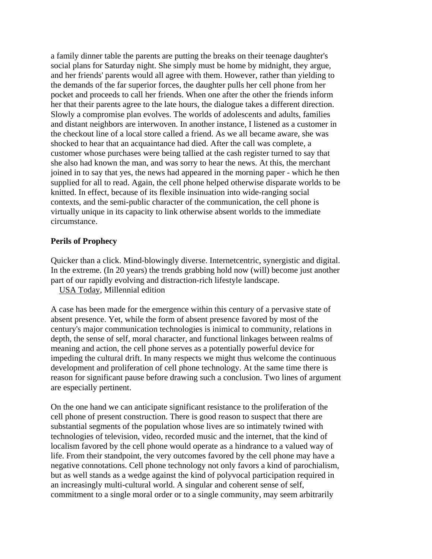a family dinner table the parents are putting the breaks on their teenage daughter's social plans for Saturday night. She simply must be home by midnight, they argue, and her friends' parents would all agree with them. However, rather than yielding to the demands of the far superior forces, the daughter pulls her cell phone from her pocket and proceeds to call her friends. When one after the other the friends inform her that their parents agree to the late hours, the dialogue takes a different direction. Slowly a compromise plan evolves. The worlds of adolescents and adults, families and distant neighbors are interwoven. In another instance, I listened as a customer in the checkout line of a local store called a friend. As we all became aware, she was shocked to hear that an acquaintance had died. After the call was complete, a customer whose purchases were being tallied at the cash register turned to say that she also had known the man, and was sorry to hear the news. At this, the merchant joined in to say that yes, the news had appeared in the morning paper - which he then supplied for all to read. Again, the cell phone helped otherwise disparate worlds to be knitted. In effect, because of its flexible insinuation into wide-ranging social contexts, and the semi-public character of the communication, the cell phone is virtually unique in its capacity to link otherwise absent worlds to the immediate circumstance.

### **Perils of Prophecy**

Quicker than a click. Mind-blowingly diverse. Internetcentric, synergistic and digital. In the extreme. (In 20 years) the trends grabbing hold now (will) become just another part of our rapidly evolving and distraction-rich lifestyle landscape.

USA Today, Millennial edition

A case has been made for the emergence within this century of a pervasive state of absent presence. Yet, while the form of absent presence favored by most of the century's major communication technologies is inimical to community, relations in depth, the sense of self, moral character, and functional linkages between realms of meaning and action, the cell phone serves as a potentially powerful device for impeding the cultural drift. In many respects we might thus welcome the continuous development and proliferation of cell phone technology. At the same time there is reason for significant pause before drawing such a conclusion. Two lines of argument are especially pertinent.

On the one hand we can anticipate significant resistance to the proliferation of the cell phone of present construction. There is good reason to suspect that there are substantial segments of the population whose lives are so intimately twined with technologies of television, video, recorded music and the internet, that the kind of localism favored by the cell phone would operate as a hindrance to a valued way of life. From their standpoint, the very outcomes favored by the cell phone may have a negative connotations. Cell phone technology not only favors a kind of parochialism, but as well stands as a wedge against the kind of polyvocal participation required in an increasingly multi-cultural world. A singular and coherent sense of self, commitment to a single moral order or to a single community, may seem arbitrarily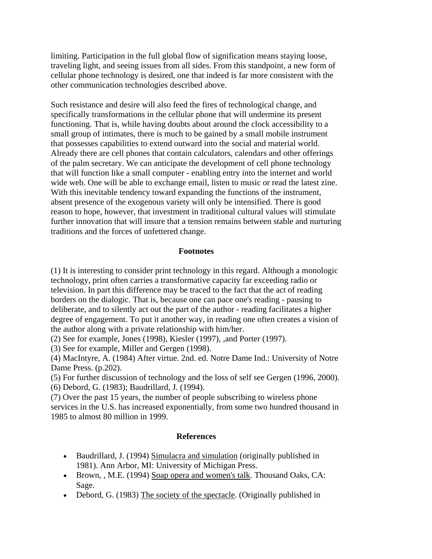limiting. Participation in the full global flow of signification means staying loose, traveling light, and seeing issues from all sides. From this standpoint, a new form of cellular phone technology is desired, one that indeed is far more consistent with the other communication technologies described above.

Such resistance and desire will also feed the fires of technological change, and specifically transformations in the cellular phone that will undermine its present functioning. That is, while having doubts about around the clock accessibility to a small group of intimates, there is much to be gained by a small mobile instrument that possesses capabilities to extend outward into the social and material world. Already there are cell phones that contain calculators, calendars and other offerings of the palm secretary. We can anticipate the development of cell phone technology that will function like a small computer - enabling entry into the internet and world wide web. One will be able to exchange email, listen to music or read the latest zine. With this inevitable tendency toward expanding the functions of the instrument, absent presence of the exogenous variety will only be intensified. There is good reason to hope, however, that investment in traditional cultural values will stimulate further innovation that will insure that a tension remains between stable and nurturing traditions and the forces of unfettered change.

### **Footnotes**

(1) It is interesting to consider print technology in this regard. Although a monologic technology, print often carries a transformative capacity far exceeding radio or television. In part this difference may be traced to the fact that the act of reading borders on the dialogic. That is, because one can pace one's reading - pausing to deliberate, and to silently act out the part of the author - reading facilitates a higher degree of engagement. To put it another way, in reading one often creates a vision of the author along with a private relationship with him/her.

(2) See for example, Jones (1998), Kiesler (1997), ,and Porter (1997).

(3) See for example, Miller and Gergen (1998).

(4) MacIntyre, A. (1984) After virtue. 2nd. ed. Notre Dame Ind.: University of Notre Dame Press. (p.202).

(5) For further discussion of technology and the loss of self see Gergen (1996, 2000). (6) Debord, G. (1983); Baudrillard, J. (1994).

(7) Over the past 15 years, the number of people subscribing to wireless phone services in the U.S. has increased exponentially, from some two hundred thousand in 1985 to almost 80 million in 1999.

## **References**

- Baudrillard, J. (1994) Simulacra and simulation (originally published in 1981). Ann Arbor, MI: University of Michigan Press.
- Brown, , M.E. (1994) Soap opera and women's talk. Thousand Oaks, CA: Sage.
- Debord, G. (1983) The society of the spectacle. (Originally published in